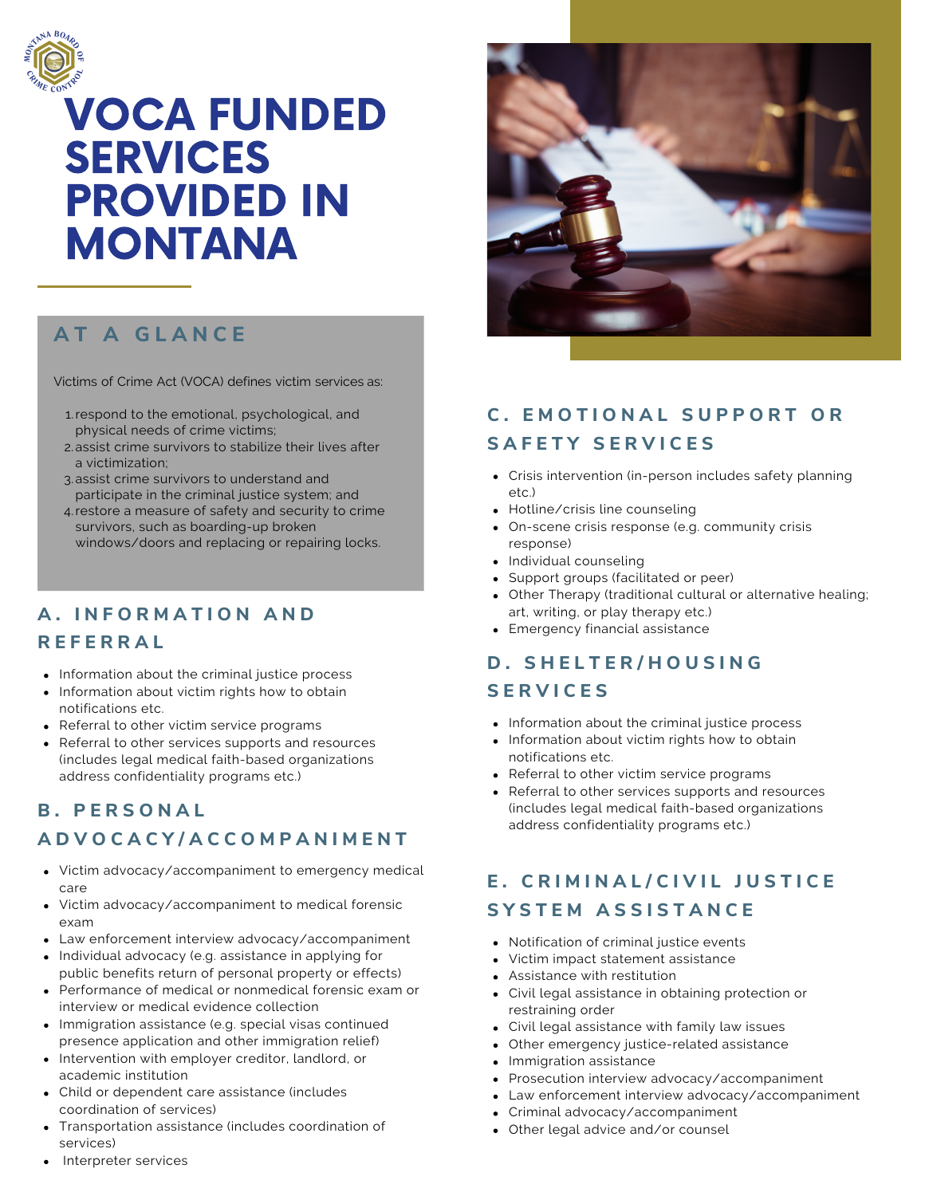

# VOCA FUNDED **SERVICES** PROVIDED IN MONTANA

# **A T A G L A N C E**

Victims of Crime Act (VOCA) defines victim services as:

- 1. respond to the emotional, psychological, and physical needs of crime victims;
- assist crime survivors to stabilize their lives after 2. a victimization;
- 3.assist crime survivors to understand and participate in the criminal justice system; and
- 4 restore a measure of safety and security to crime survivors, such as boarding-up broken windows/doors and replacing or repairing locks.

### **A . I N F O R M A T I O N A N D**

#### **R E F E R R A L**

- Information about the criminal justice process
- Information about victim rights how to obtain notifications etc.
- Referral to other victim service programs
- Referral to other services supports and resources (includes legal medical faith-based organizations address confidentiality programs etc.)

#### **B . P E R S O N A L**

### **A D V O C A C Y / A C C O M P A N I M E N T**

- Victim advocacy/accompaniment to emergency medical care
- Victim advocacy/accompaniment to medical forensic exam
- Law enforcement interview advocacy/accompaniment
- Individual advocacy (e.g. assistance in applying for public benefits return of personal property or effects)
- Performance of medical or nonmedical forensic exam or  $\bullet$ interview or medical evidence collection
- Immigration assistance (e.g. special visas continued presence application and other immigration relief)
- Intervention with employer creditor, landlord, or academic institution
- Child or dependent care assistance (includes coordination of services)
- Transportation assistance (includes coordination of services)



## **C . E M O T I O N A L S U P P O R T O R S A F E T Y S E R V I C E S**

- Crisis intervention (in-person includes safety planning etc.)
- Hotline/crisis line counseling
- On-scene crisis response (e.g. community crisis response)
- Individual counseling
- Support groups (facilitated or peer)
- Other Therapy (traditional cultural or alternative healing; art, writing, or play therapy etc.)
- Emergency financial assistance

#### **D . S H E L T E R / H O U S I N G**

#### **S E R V I C E S**

- Information about the criminal justice process
- Information about victim rights how to obtain notifications etc.
- Referral to other victim service programs
- Referral to other services supports and resources (includes legal medical faith-based organizations address confidentiality programs etc.)

### **E. CRIMINAL/CIVIL JUSTICE S Y S T E M A S S I S T A N C E**

- Notification of criminal justice events
- Victim impact statement assistance
- Assistance with restitution
- Civil legal assistance in obtaining protection or restraining order
- Civil legal assistance with family law issues
- Other emergency justice-related assistance
- Immigration assistance
- Prosecution interview advocacy/accompaniment
- Law enforcement interview advocacy/accompaniment
- Criminal advocacy/accompaniment
- Other legal advice and/or counsel

Interpreter services